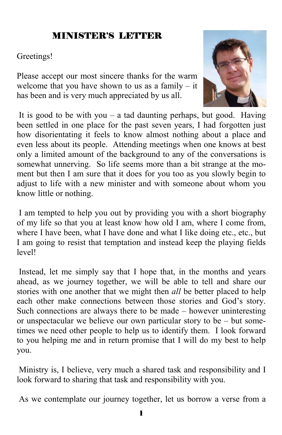### MINISTER'S LETTER

#### Greetings!

Please accept our most sincere thanks for the warm welcome that you have shown to us as a family  $-$  it has been and is very much appreciated by us all.



It is good to be with you – a tad daunting perhaps, but good. Having been settled in one place for the past seven years, I had forgotten just how disorientating it feels to know almost nothing about a place and even less about its people. Attending meetings when one knows at best only a limited amount of the background to any of the conversations is somewhat unnerving. So life seems more than a bit strange at the moment but then I am sure that it does for you too as you slowly begin to adjust to life with a new minister and with someone about whom you know little or nothing.

 I am tempted to help you out by providing you with a short biography of my life so that you at least know how old I am, where I come from, where I have been, what I have done and what I like doing etc., etc., but I am going to resist that temptation and instead keep the playing fields level!

 Instead, let me simply say that I hope that, in the months and years ahead, as we journey together, we will be able to tell and share our stories with one another that we might then *all* be better placed to help each other make connections between those stories and God's story. Such connections are always there to be made – however uninteresting or unspectacular we believe our own particular story to be – but sometimes we need other people to help us to identify them. I look forward to you helping me and in return promise that I will do my best to help you.

 Ministry is, I believe, very much a shared task and responsibility and I look forward to sharing that task and responsibility with you.

As we contemplate our journey together, let us borrow a verse from a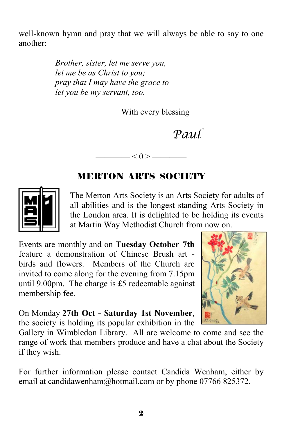well-known hymn and pray that we will always be able to say to one another:

> *Brother, sister, let me serve you, let me be as Christ to you; pray that I may have the grace to let you be my servant, too.*

> > With every blessing

# *Paul*

# MERTON ARTS SOCIETY

—— $<$  ()  $>$  —



The Merton Arts Society is an Arts Society for adults of all abilities and is the longest standing Arts Society in the London area. It is delighted to be holding its events at Martin Way Methodist Church from now on.

Events are monthly and on **Tuesday October 7th** feature a demonstration of Chinese Brush art birds and flowers. Members of the Church are invited to come along for the evening from 7.15pm until 9.00pm. The charge is £5 redeemable against membership fee.

On Monday **27th Oct - Saturday 1st November**, the society is holding its popular exhibition in the



Gallery in Wimbledon Library. All are welcome to come and see the range of work that members produce and have a chat about the Society if they wish.

For further information please contact Candida Wenham, either by email at candidawenham@hotmail.com or by phone 07766 825372.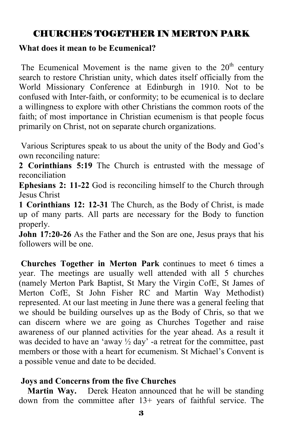# CHURCHES TOGETHER IN MERTON PARK

#### **What does it mean to be Ecumenical?**

The Ecumenical Movement is the name given to the  $20<sup>th</sup>$  century search to restore Christian unity, which dates itself officially from the World Missionary Conference at Edinburgh in 1910. Not to be confused with Inter-faith, or conformity; to be ecumenical is to declare a willingness to explore with other Christians the common roots of the faith; of most importance in Christian ecumenism is that people focus primarily on Christ, not on separate church organizations.

 Various Scriptures speak to us about the unity of the Body and God's own reconciling nature:

**2 Corinthians 5:19** The Church is entrusted with the message of reconciliation

**Ephesians 2: 11-22** God is reconciling himself to the Church through Jesus Christ

**1 Corinthians 12: 12-31** The Church, as the Body of Christ, is made up of many parts. All parts are necessary for the Body to function properly.

**John 17:20-26** As the Father and the Son are one, Jesus prays that his followers will be one.

**Churches Together in Merton Park** continues to meet 6 times a year. The meetings are usually well attended with all 5 churches (namely Merton Park Baptist, St Mary the Virgin CofE, St James of Merton CofE, St John Fisher RC and Martin Way Methodist) represented. At our last meeting in June there was a general feeling that we should be building ourselves up as the Body of Chris, so that we can discern where we are going as Churches Together and raise awareness of our planned activities for the year ahead. As a result it was decided to have an 'away  $\frac{1}{2}$  day' -a retreat for the committee, past members or those with a heart for ecumenism. St Michael's Convent is a possible venue and date to be decided.

#### **Joys and Concerns from the five Churches**

**Martin Way.** Derek Heaton announced that he will be standing down from the committee after 13+ years of faithful service. The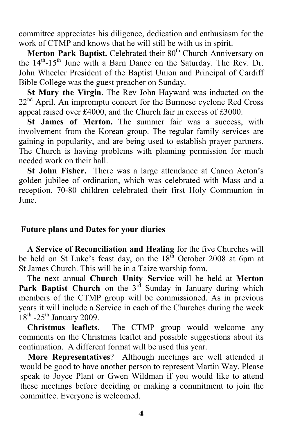committee appreciates his diligence, dedication and enthusiasm for the work of CTMP and knows that he will still be with us in spirit.

**Merton Park Baptist.** Celebrated their 80<sup>th</sup> Church Anniversary on the 14<sup>th</sup>-15<sup>th</sup> June with a Barn Dance on the Saturday. The Rev. Dr. John Wheeler President of the Baptist Union and Principal of Cardiff Bible College was the guest preacher on Sunday.

 **St Mary the Virgin.** The Rev John Hayward was inducted on the 22<sup>nd</sup> April. An impromptu concert for the Burmese cyclone Red Cross appeal raised over £4000, and the Church fair in excess of £3000.

 **St James of Merton.** The summer fair was a success, with involvement from the Korean group. The regular family services are gaining in popularity, and are being used to establish prayer partners. The Church is having problems with planning permission for much needed work on their hall.

 **St John Fisher.** There was a large attendance at Canon Acton's golden jubilee of ordination, which was celebrated with Mass and a reception. 70-80 children celebrated their first Holy Communion in June.

#### **Future plans and Dates for your diaries**

 **A Service of Reconciliation and Healing** for the five Churches will be held on St Luke's feast day, on the  $18<sup>th</sup>$  October 2008 at 6pm at St James Church. This will be in a Taize worship form.

 The next annual **Church Unity Service** will be held at **Merton Park Baptist Church** on the 3<sup>rd</sup> Sunday in January during which members of the CTMP group will be commissioned. As in previous years it will include a Service in each of the Churches during the week  $18<sup>th</sup>$  -25<sup>th</sup> January 2009.

 **Christmas leaflets**. The CTMP group would welcome any comments on the Christmas leaflet and possible suggestions about its continuation. A different format will be used this year.

 **More Representatives**? Although meetings are well attended it would be good to have another person to represent Martin Way. Please speak to Joyce Plant or Gwen Wildman if you would like to attend these meetings before deciding or making a commitment to join the committee. Everyone is welcomed.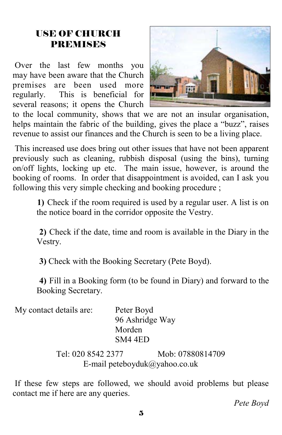### USE OF CHURCH PREMISES

 Over the last few months you may have been aware that the Church premises are been used more regularly. This is beneficial for several reasons; it opens the Church



to the local community, shows that we are not an insular organisation, helps maintain the fabric of the building, gives the place a "buzz", raises revenue to assist our finances and the Church is seen to be a living place.

 This increased use does bring out other issues that have not been apparent previously such as cleaning, rubbish disposal (using the bins), turning on/off lights, locking up etc. The main issue, however, is around the booking of rooms. In order that disappointment is avoided, can I ask you following this very simple checking and booking procedure ;

**1)** Check if the room required is used by a regular user. A list is on the notice board in the corridor opposite the Vestry.

**2)** Check if the date, time and room is available in the Diary in the Vestry.

**3)** Check with the Booking Secretary (Pete Boyd).

 **4)** Fill in a Booking form (to be found in Diary) and forward to the Booking Secretary.

| My contact details are: | Peter Boyd      |
|-------------------------|-----------------|
|                         | 96 Ashridge Way |
|                         | Morden          |
|                         | SM4 4ED         |

Tel: 020 8542 2377 Mob: 07880814709 E-mail peteboyduk@yahoo.co.uk

 If these few steps are followed, we should avoid problems but please contact me if here are any queries.

*Pete Boyd*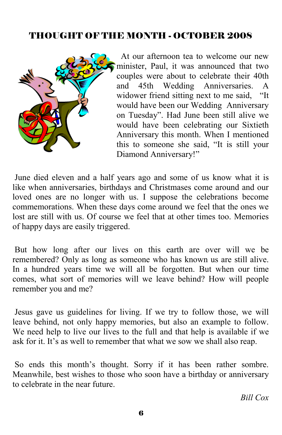#### THOUGHT OF THE MONTH - OCTOBER 2008



 At our afternoon tea to welcome our new minister, Paul, it was announced that two couples were about to celebrate their 40th and 45th Wedding Anniversaries. A widower friend sitting next to me said, "It would have been our Wedding Anniversary on Tuesday". Had June been still alive we would have been celebrating our Sixtieth Anniversary this month. When I mentioned this to someone she said, "It is still your Diamond Anniversary!"

 June died eleven and a half years ago and some of us know what it is like when anniversaries, birthdays and Christmases come around and our loved ones are no longer with us. I suppose the celebrations become commemorations. When these days come around we feel that the ones we lost are still with us. Of course we feel that at other times too. Memories of happy days are easily triggered.

 But how long after our lives on this earth are over will we be remembered? Only as long as someone who has known us are still alive. In a hundred years time we will all be forgotten. But when our time comes, what sort of memories will we leave behind? How will people remember you and me?

 Jesus gave us guidelines for living. If we try to follow those, we will leave behind, not only happy memories, but also an example to follow. We need help to live our lives to the full and that help is available if we ask for it. It's as well to remember that what we sow we shall also reap.

 So ends this month's thought. Sorry if it has been rather sombre. Meanwhile, best wishes to those who soon have a birthday or anniversary to celebrate in the near future.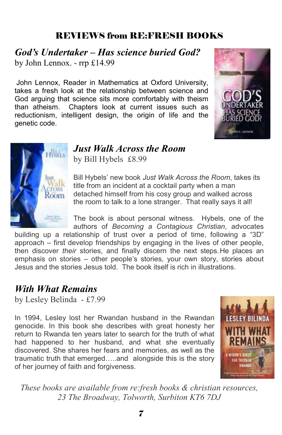### REVIEWS from RE:FRESH BOOKS

*God's Undertaker – Has science buried God?* by John Lennox. - rrp £14.99

John Lennox, Reader in Mathematics at Oxford University, takes a fresh look at the relationship between science and God arguing that science sits more comfortably with theism than atheism. Chapters look at current issues such as reductionism, intelligent design, the origin of life and the genetic code.





## *Just Walk Across the Room*

by Bill Hybels £8.99

Bill Hybels' new book *Just Walk Across the Room*, takes its title from an incident at a cocktail party when a man detached himself from his cosy group and walked across the room to talk to a lone stranger. That really says it all!

The book is about personal witness. Hybels, one of the authors of *Becoming a Contagious Christian*, advocates

building up a relationship of trust over a period of time, following a "3D" approach – first develop friendships by engaging in the lives of other people, then discover *their* stories, and finally discern the next steps.He places an emphasis on stories – other people's stories, your own story, stories about Jesus and the stories Jesus told. The book itself is rich in illustrations.

### *With What Remains*

by Lesley Belinda - £7.99

In 1994, Lesley lost her Rwandan husband in the Rwandan genocide. In this book she describes with great honesty her return to Rwanda ten years later to search for the truth of what had happened to her husband, and what she eventually discovered. She shares her fears and memories, as well as the traumatic truth that emerged…..and alongside this is the story of her journey of faith and forgiveness.



*These books are available from re:fresh books & christian resources, 23 The Broadway, Tolworth, Surbiton KT6 7DJ*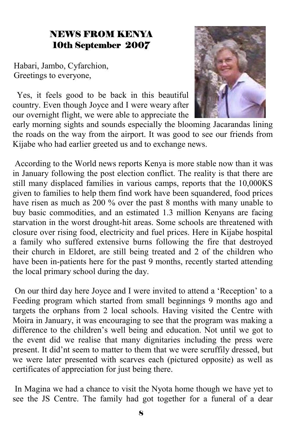## NEWS FROM KENYA 10th September 2007

Habari, Jambo, Cyfarchion, Greetings to everyone,

 Yes, it feels good to be back in this beautiful country. Even though Joyce and I were weary after our overnight flight, we were able to appreciate the



early morning sights and sounds especially the blooming Jacarandas lining the roads on the way from the airport. It was good to see our friends from Kijabe who had earlier greeted us and to exchange news.

 According to the World news reports Kenya is more stable now than it was in January following the post election conflict. The reality is that there are still many displaced families in various camps, reports that the 10,000KS given to families to help them find work have been squandered, food prices have risen as much as 200 % over the past 8 months with many unable to buy basic commodities, and an estimated 1.3 million Kenyans are facing starvation in the worst drought-hit areas. Some schools are threatened with closure over rising food, electricity and fuel prices. Here in Kijabe hospital a family who suffered extensive burns following the fire that destroyed their church in Eldoret, are still being treated and 2 of the children who have been in-patients here for the past 9 months, recently started attending the local primary school during the day.

 On our third day here Joyce and I were invited to attend a 'Reception' to a Feeding program which started from small beginnings 9 months ago and targets the orphans from 2 local schools. Having visited the Centre with Moira in January, it was encouraging to see that the program was making a difference to the children's well being and education. Not until we got to the event did we realise that many dignitaries including the press were present. It did'nt seem to matter to them that we were scruffily dressed, but we were later presented with scarves each (pictured opposite) as well as certificates of appreciation for just being there.

 In Magina we had a chance to visit the Nyota home though we have yet to see the JS Centre. The family had got together for a funeral of a dear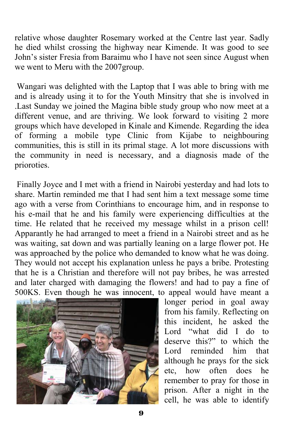relative whose daughter Rosemary worked at the Centre last year. Sadly he died whilst crossing the highway near Kimende. It was good to see John's sister Fresia from Baraimu who I have not seen since August when we went to Meru with the 2007group.

 Wangari was delighted with the Laptop that I was able to bring with me and is already using it to for the Youth Minsitry that she is involved in Last Sunday we joined the Magina bible study group who now meet at a different venue, and are thriving. We look forward to visiting 2 more groups which have developed in Kinale and Kimende. Regarding the idea of forming a mobile type Clinic from Kijabe to neighbouring communities, this is still in its primal stage. A lot more discussions with the community in need is necessary, and a diagnosis made of the prioroties.

 Finally Joyce and I met with a friend in Nairobi yesterday and had lots to share. Martin reminded me that I had sent him a text message some time ago with a verse from Corinthians to encourage him, and in response to his e-mail that he and his family were experiencing difficulties at the time. He related that he received my message whilst in a prison cell! Apparantly he had arranged to meet a friend in a Nairobi street and as he was waiting, sat down and was partially leaning on a large flower pot. He was approached by the police who demanded to know what he was doing. They would not accept his explanation unless he pays a bribe. Protesting that he is a Christian and therefore will not pay bribes, he was arrested and later charged with damaging the flowers! and had to pay a fine of 500KS. Even though he was innocent, to appeal would have meant a



longer period in goal away from his family. Reflecting on this incident, he asked the Lord "what did I do to deserve this?" to which the Lord reminded him that although he prays for the sick etc, how often does he remember to pray for those in prison. After a night in the cell, he was able to identify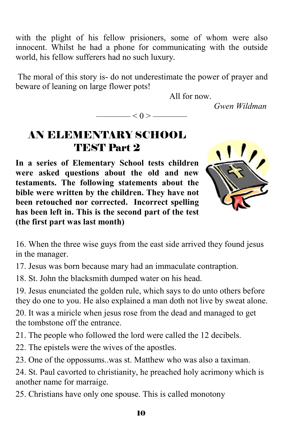with the plight of his fellow prisioners, some of whom were also innocent. Whilst he had a phone for communicating with the outside world, his fellow sufferers had no such luxury.

 The moral of this story is- do not underestimate the power of prayer and beware of leaning on large flower pots!

———— $< 0 >$ ———

All for now.

*Gwen Wildman* 

# AN ELEMENTARY SCHOOL TEST Part 2

**In a series of Elementary School tests children were asked questions about the old and new testaments. The following statements about the bible were written by the children. They have not been retouched nor corrected. Incorrect spelling has been left in. This is the second part of the test (the first part was last month)** 



16. When the three wise guys from the east side arrived they found jesus in the manager.

17. Jesus was born because mary had an immaculate contraption.

18. St. John the blacksmith dumped water on his head.

19. Jesus enunciated the golden rule, which says to do unto others before they do one to you. He also explained a man doth not live by sweat alone.

20. It was a miricle when jesus rose from the dead and managed to get the tombstone off the entrance.

21. The people who followed the lord were called the 12 decibels.

22. The epistels were the wives of the apostles.

23. One of the oppossums..was st. Matthew who was also a taximan.

24. St. Paul cavorted to christianity, he preached holy acrimony which is another name for marraige.

25. Christians have only one spouse. This is called monotony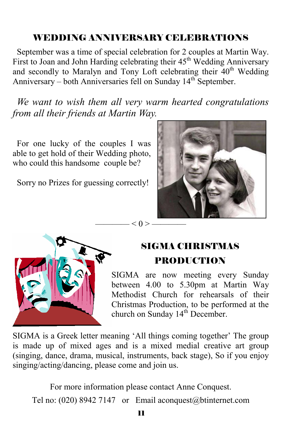## WEDDING ANNIVERSARY CELEBRATIONS

 September was a time of special celebration for 2 couples at Martin Way. First to Joan and John Harding celebrating their  $45<sup>th</sup>$  Wedding Anniversary and secondly to Maralyn and Tony Loft celebrating their 40<sup>th</sup> Wedding Anniversary – both Anniversaries fell on Sunday  $14<sup>th</sup>$  September.

 *We want to wish them all very warm hearted congratulations from all their friends at Martin Way.*

 $< 0 > -$ 

 For one lucky of the couples I was able to get hold of their Wedding photo, who could this handsome couple be?

Sorry no Prizes for guessing correctly!





# SIGMA CHRISTMAS PRODUCTION

SIGMA are now meeting every Sunday between 4.00 to 5.30pm at Martin Way Methodist Church for rehearsals of their Christmas Production, to be performed at the church on Sunday 14<sup>th</sup> December.

SIGMA is a Greek letter meaning 'All things coming together' The group is made up of mixed ages and is a mixed medial creative art group (singing, dance, drama, musical, instruments, back stage), So if you enjoy singing/acting/dancing, please come and join us.

For more information please contact Anne Conquest. Tel no: (020) 8942 7147 or Email aconquest@btinternet.com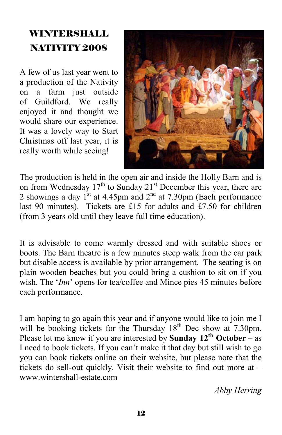# WINTERSHALL NATIVITY 2008

A few of us last year went to a production of the Nativity on a farm just outside of Guildford. We really enjoyed it and thought we would share our experience. It was a lovely way to Start Christmas off last year, it is really worth while seeing!



The production is held in the open air and inside the Holly Barn and is on from Wednesday  $17<sup>th</sup>$  to Sunday  $21<sup>st</sup>$  December this year, there are 2 showings a day  $1^{st}$  at 4.45pm and  $2^{nd}$  at 7.30pm (Each performance last 90 minutes). Tickets are £15 for adults and £7.50 for children (from 3 years old until they leave full time education).

It is advisable to come warmly dressed and with suitable shoes or boots. The Barn theatre is a few minutes steep walk from the car park but disable access is available by prior arrangement. The seating is on plain wooden beaches but you could bring a cushion to sit on if you wish. The '*Inn*' opens for tea/coffee and Mince pies 45 minutes before each performance.

I am hoping to go again this year and if anyone would like to join me I will be booking tickets for the Thursday  $18<sup>th</sup>$  Dec show at 7.30pm. Please let me know if you are interested by **Sunday 12<sup>th</sup> October** – as I need to book tickets. If you can't make it that day but still wish to go you can book tickets online on their website, but please note that the tickets do sell-out quickly. Visit their website to find out more at – www.wintershall-estate.com

*Abby Herring*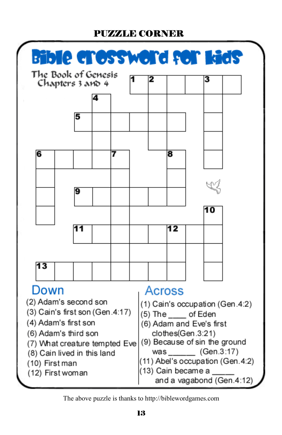#### PUZZLE CORNER



The above puzzle is thanks to http://biblewordgames.com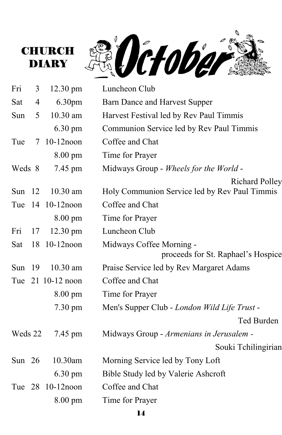



| Fri      | 3              | $12.30 \text{ pm}$ | Luncheon Club                                                          |
|----------|----------------|--------------------|------------------------------------------------------------------------|
| Sat      | $\overline{4}$ | 6.30 <sub>pm</sub> | Barn Dance and Harvest Supper                                          |
| Sun      | 5              | 10.30 am           | Harvest Festival led by Rev Paul Timmis                                |
|          |                | 6.30 pm            | Communion Service led by Rev Paul Timmis                               |
| Tue      | $\tau$         | $10-12$ noon       | Coffee and Chat                                                        |
|          |                | 8.00 pm            | Time for Prayer                                                        |
| Weds 8   |                | 7.45 pm            | Midways Group - Wheels for the World -                                 |
| Sun $12$ |                | $10.30$ am         | <b>Richard Polley</b><br>Holy Communion Service led by Rev Paul Timmis |
|          |                | Tue 14 10-12 noon  | Coffee and Chat                                                        |
|          |                | $8.00 \text{ pm}$  | Time for Prayer                                                        |
| Fri      | 17             | $12.30 \text{ pm}$ | Luncheon Club                                                          |
| Sat      |                | 18 10-12noon       | Midways Coffee Morning -<br>proceeds for St. Raphael's Hospice         |
| Sun      | -19            | 10.30 am           | Praise Service led by Rev Margaret Adams                               |
|          |                | Tue 21 10-12 noon  | Coffee and Chat                                                        |
|          |                | $8.00 \text{ pm}$  | Time for Prayer                                                        |
|          |                | 7.30 pm            | Men's Supper Club - London Wild Life Trust -                           |
|          |                |                    | Ted Burden                                                             |
| Weds 22  |                | 7.45 pm            | Midways Group - Armenians in Jerusalem -                               |
|          |                |                    | Souki Tchilingirian                                                    |
| Sun $26$ |                | 10.30am            | Morning Service led by Tony Loft                                       |
|          |                | $6.30 \text{ pm}$  | Bible Study led by Valerie Ashcroft                                    |
|          |                | Tue 28 10-12 noon  | Coffee and Chat                                                        |
|          |                | 8.00 pm            | Time for Prayer                                                        |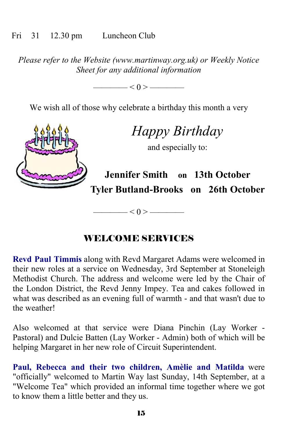#### Fri 31 12.30 pm Luncheon Club

*Please refer to the Website (www.martinway.org.uk) or Weekly Notice Sheet for any additional information* 

 $< 0 >$  —————

We wish all of those why celebrate a birthday this month a very

*Happy Birthday* 

and especially to:

**Jennifer Smith on 13th October Tyler Butland-Brooks on 26th October** 

WELCOME SERVICES

———— $< 0 >$ —————

**Revd Paul Timmis** along with Revd Margaret Adams were welcomed in their new roles at a service on Wednesday, 3rd September at Stoneleigh Methodist Church. The address and welcome were led by the Chair of the London District, the Revd Jenny Impey. Tea and cakes followed in what was described as an evening full of warmth - and that wasn't due to the weather!

Also welcomed at that service were Diana Pinchin (Lay Worker - Pastoral) and Dulcie Batten (Lay Worker - Admin) both of which will be helping Margaret in her new role of Circuit Superintendent.

**Paul, Rebecca and their two children, Amèlie and Matilda** were "officially" welcomed to Martin Way last Sunday, 14th September, at a "Welcome Tea" which provided an informal time together where we got to know them a little better and they us.